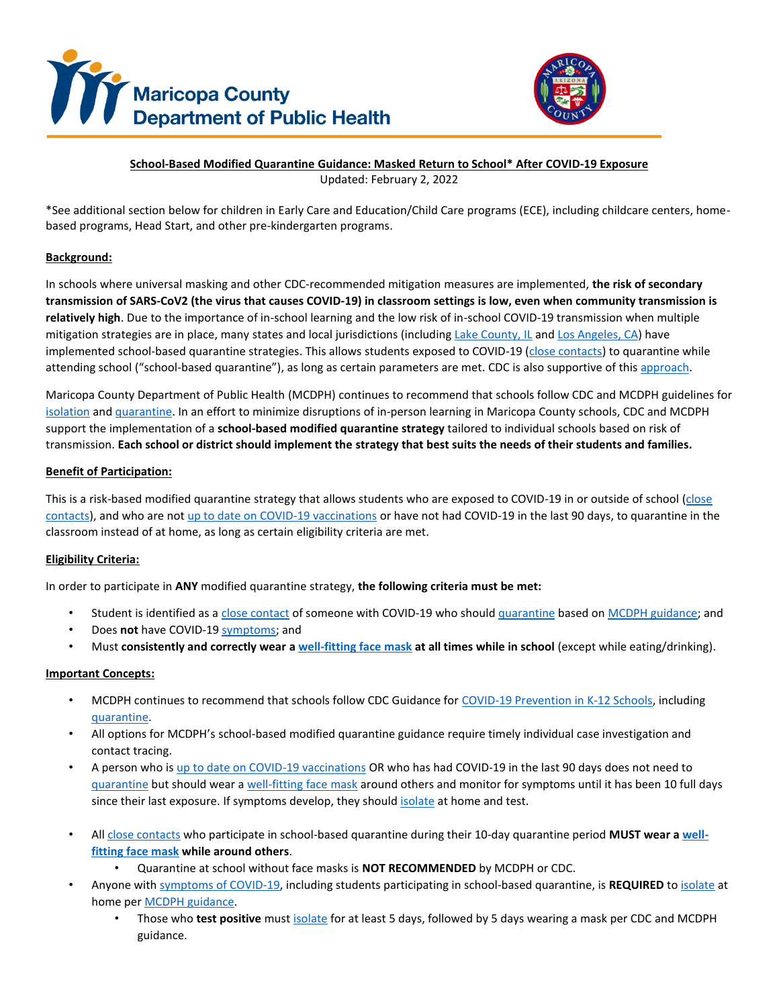



# **School-Based Modified Quarantine Guidance: Masked Return to School\* After COVID-19 Exposure**

Updated: February 2, 2022

\*See additional section below for children in Early Care and Education/Child Care programs (ECE), including childcare centers, homebased programs, Head Start, and other pre-kindergarten programs.

# **Background:**

In schools where universal masking and other CDC-recommended mitigation measures are implemented, **the risk of secondary transmission of SARS-CoV2 (the virus that causes COVID-19) in classroom settings is low, even when community transmission is relatively high**. Due to the importance of in-school learning and the low risk of in-school COVID-19 transmission when multiple mitigation strategies are in place, many states and local jurisdictions (includin[g Lake County, IL](https://www.cdc.gov/mmwr/volumes/70/wr/mm705152e2.htm?s_cid=mm705152e2_w) an[d Los Angeles,](https://www.cdc.gov/mmwr/volumes/70/wr/mm705152e1.htm?s_cid=mm705152e1_w) CA) have implemented school-based quarantine strategies. This allows students exposed to COVID-19 [\(close contacts\)](http://www.maricopa.gov/COVIDquarantine) to quarantine while attending school ("school-based quarantine"), as long as certain parameters are met. CDC is also supportive o[f this approach.](https://www.cdc.gov/coronavirus/2019-ncov/science/science-briefs/transmission_k_12_schools.html#anchor_1639603965438)

Maricopa County Department of Public Health (MCDPH) continues to recommend that schools follow CDC and MCDPH guidelines for [isolation](http://www.maricopa.gov/COVIDisolation) an[d quarantine.](http://www.maricopa.gov/COVIDquarantine) In an effort to minimize disruptions of in-person learning in Maricopa County schools, CDC and MCDPH support the implementation of a **school-based modified quarantine strategy** tailored to individual schools based on risk of transmission. **Each school or district should implement the strategy that best suits the needs of their students and families.**

# **Benefit of Participation:**

This is a risk-based modified quarantine strategy that allows students who are exposed to COVID-19 in or outside of school [\(close](http://www.maricopa.gov/COVIDquarantine)  [contacts\)](http://www.maricopa.gov/COVIDquarantine), and who are no[t up to date on COVID-19](http://www.maricopa.gov/COVIDquarantine) vaccinations or have not had COVID-19 in the last 90 days, to quarantine in the classroom instead of at home, as long as certain eligibility criteria are met.

# **Eligibility Criteria:**

In order to participate in **ANY** modified quarantine strategy, **the following criteria must be met:**

- Student is identified as a [close contact](http://www.maricopa.gov/COVIDquarantine) of someone with COVID-19 who shoul[d quarantine](http://www.maricopa.gov/COVIDquarantine) based on [MCDPH guidance;](http://www.maricopa.gov/COVIDquarantine) and
- Does **not** have [COVID-19 symptoms;](http://www.maricopa.gov/COVIDquarantine) and
- Must **consistently and correctly wear [a well-fitting face mask](https://www.cdc.gov/coronavirus/2019-ncov/prevent-getting-sick/about-face-coverings.html) at all times while in school** (except while eating/drinking).

#### **Important Concepts:**

- MCDPH continues to recommend that schools follow CDC Guidance for [COVID-19 Prevention in K-12 Schools,](https://www.cdc.gov/coronavirus/2019-ncov/community/schools-childcare/k-12-guidance.html) including [quarantine.](http://www.maricopa.gov/COVIDquarantine)
- All options for MCDPH's school-based modified quarantine guidance require timely individual case investigation and contact tracing.
- A person who is [up to date on COVID-19 vaccinations](http://www.maricopa.gov/COVIDquarantine) OR who has had COVID-19 in the last 90 days does not need to [quarantine](http://www.maricopa.gov/COVIDquarantine) but should wear a [well-fitting face mask](https://www.cdc.gov/coronavirus/2019-ncov/prevent-getting-sick/about-face-coverings.html) around others and monitor for symptoms until it has been 10 full days since their last exposure. If symptoms develop, they should [isolate](http://www.maricopa.gov/COVIDisolation) at home and test.
- Al[l close contacts](http://www.maricopa.gov/COVIDquarantine) who participate in school-based quarantine during their 10-day quarantine period **MUST wear [a well](https://www.cdc.gov/coronavirus/2019-ncov/prevent-getting-sick/about-face-coverings.html)[fitting face mask](https://www.cdc.gov/coronavirus/2019-ncov/prevent-getting-sick/about-face-coverings.html) while around others**.
	- Quarantine at school without face masks is **NOT RECOMMENDED** by MCDPH or CDC.
- Anyone wit[h symptoms of COVID-19,](http://www.maricopa.gov/COVIDquarantine) including students participating in school-based quarantine, is **REQUIRED** to [isolate](http://www.maricopa.gov/COVIDisolation) at home pe[r MCDPH guidance.](http://www.maricopa.gov/COVIDisolation)
	- Those who **test positive** mus[t isolate](http://www.maricopa.gov/COVIDisolation) for at least 5 days, followed by 5 days wearing a mask per CDC and MCDPH guidance.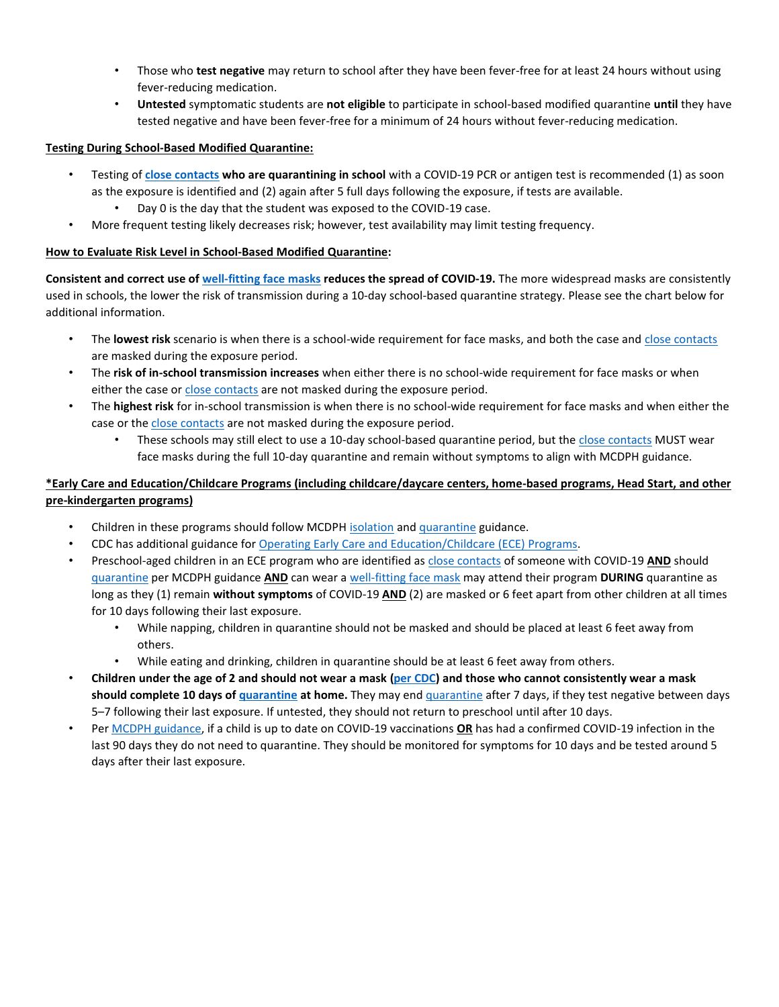- Those who **test negative** may return to school after they have been fever-free for at least 24 hours without using fever-reducing medication.
- **Untested** symptomatic students are **not eligible** to participate in school-based modified quarantine **until** they have tested negative and have been fever-free for a minimum of 24 hours without fever-reducing medication.

#### **Testing During School-Based Modified Quarantine:**

- Testing of **[close contacts](http://www.maricopa.gov/COVIDquarantine) who are quarantining in school** with a COVID-19 PCR or antigen test is recommended (1) as soon as the exposure is identified and (2) again after 5 full days following the exposure, if tests are available.
	- Day 0 is the day that the student was exposed to the COVID-19 case.
- More frequent testing likely decreases risk; however, test availability may limit testing frequency.

#### **How to Evaluate Risk Level in School-Based Modified Quarantine:**

**Consistent and correct use of [well-fitting face masks](https://www.cdc.gov/coronavirus/2019-ncov/prevent-getting-sick/about-face-coverings.html) reduces the spread of COVID-19.** The more widespread masks are consistently used in schools, the lower the risk of transmission during a 10-day school-based quarantine strategy. Please see the chart below for additional information.

- The **lowest risk** scenario is when there is a school-wide requirement for face masks, and both the case an[d close contacts](http://www.maricopa.gov/COVIDquarantine) are masked during the exposure period.
- The **risk of in-school transmission increases** when either there is no school-wide requirement for face masks or when either the case o[r close contacts](http://www.maricopa.gov/COVIDquarantine) are not masked during the exposure period.
- The **highest risk** for in-school transmission is when there is no school-wide requirement for face masks and when either the case or the [close contacts](http://www.maricopa.gov/COVIDquarantine) are not masked during the exposure period.
	- These schools may still elect to use a 10-day school-based quarantine period, but the [close contacts](http://www.maricopa.gov/COVIDquarantine) MUST wear face masks during the full 10-day quarantine and remain without symptoms to align with MCDPH guidance.

# **\*Early Care and Education/Childcare Programs (including childcare/daycare centers, home-based programs, Head Start, and other pre-kindergarten programs)**

- Children in these programs should follow MCDPH [isolation](http://www.maricopa.gov/COVIDisolation) an[d quarantine](http://www.maricopa.gov/COVIDquarantine) guidance.
- CDC has additional guidance fo[r Operating Early Care and Education/Childcare \(ECE\) Programs.](https://www.cdc.gov/coronavirus/2019-ncov/community/schools-childcare/child-care-guidance.html)
- Preschool-aged children in an ECE program who are identified a[s close contacts](http://www.maricopa.gov/COVIDquarantine) of someone with COVID-19 **AND** should [quarantine](http://www.maricopa.gov/COVIDquarantine) per MCDPH guidance **AND** can wear a [well-fitting face](https://www.cdc.gov/coronavirus/2019-ncov/prevent-getting-sick/about-face-coverings.html) mask may attend their program **DURING** quarantine as long as they (1) remain **without symptoms** of COVID-19 **AND** (2) are masked or 6 feet apart from other children at all times for 10 days following their last exposure.
	- While napping, children in quarantine should not be masked and should be placed at least 6 feet away from others.
	- While eating and drinking, children in quarantine should be at least 6 feet away from others.
- **Children under the age of 2 and should not wear a mask [\(per CDC\)](https://www.cdc.gov/coronavirus/2019-ncov/prevent-getting-sick/about-face-coverings.html) and those who cannot consistently wear a mask should complete 10 days of [quarantine](http://www.maricopa.gov/COVIDquarantine) at home.** They may end [quarantine](http://www.maricopa.gov/COVIDquarantine) after 7 days, if they test negative between days 5–7 following their last exposure. If untested, they should not return to preschool until after 10 days.
- Per [MCDPH guidance,](http://www.maricopa.gov/COVIDquarantine) if a child is up to date on COVID-19 vaccinations **OR** has had a confirmed COVID-19 infection in the last 90 days they do not need to quarantine. They should be monitored for symptoms for 10 days and be tested around 5 days after their last exposure.